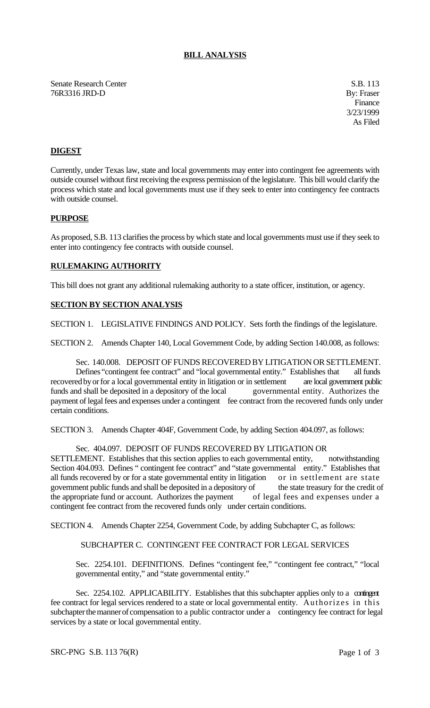# **BILL ANALYSIS**

Senate Research Center S.B. 113 76R3316 JRD-D By: Fraser

Finance 3/23/1999 As Filed

# **DIGEST**

Currently, under Texas law, state and local governments may enter into contingent fee agreements with outside counsel without first receiving the express permission of the legislature. This bill would clarify the process which state and local governments must use if they seek to enter into contingency fee contracts with outside counsel.

## **PURPOSE**

As proposed, S.B. 113 clarifies the process by which state and local governments must use if they seek to enter into contingency fee contracts with outside counsel.

## **RULEMAKING AUTHORITY**

This bill does not grant any additional rulemaking authority to a state officer, institution, or agency.

# **SECTION BY SECTION ANALYSIS**

SECTION 1. LEGISLATIVE FINDINGS AND POLICY. Sets forth the findings of the legislature.

SECTION 2. Amends Chapter 140, Local Government Code, by adding Section 140.008, as follows:

Sec. 140.008. DEPOSIT OF FUNDS RECOVERED BY LITIGATION OR SETTLEMENT. Defines "contingent fee contract" and "local governmental entity." Establishes that all funds recovered by or for a local governmental entity in litigation or in settlement are local government public funds and shall be deposited in a depository of the local governmental entity. Authorizes the payment of legal fees and expenses under a contingent fee contract from the recovered funds only under certain conditions.

SECTION 3. Amends Chapter 404F, Government Code, by adding Section 404.097, as follows:

#### Sec. 404.097. DEPOSIT OF FUNDS RECOVERED BY LITIGATION OR

SETTLEMENT. Establishes that this section applies to each governmental entity, notwithstanding Section 404.093. Defines " contingent fee contract" and "state governmental entity." Establishes that all funds recovered by or for a state governmental entity in litigation or in settlement are state government public funds and shall be deposited in a depository of the state treasury for the credit of the appropriate fund or account. Authorizes the payment of legal fees and expenses under a contingent fee contract from the recovered funds only under certain conditions.

SECTION 4. Amends Chapter 2254, Government Code, by adding Subchapter C, as follows:

#### SUBCHAPTER C. CONTINGENT FEE CONTRACT FOR LEGAL SERVICES

Sec. 2254.101. DEFINITIONS. Defines "contingent fee," "contingent fee contract," "local governmental entity," and "state governmental entity."

Sec. 2254.102. APPLICABILITY. Establishes that this subchapter applies only to a contingent fee contract for legal services rendered to a state or local governmental entity. Authorizes in this subchapter the manner of compensation to a public contractor under a contingency fee contract for legal services by a state or local governmental entity.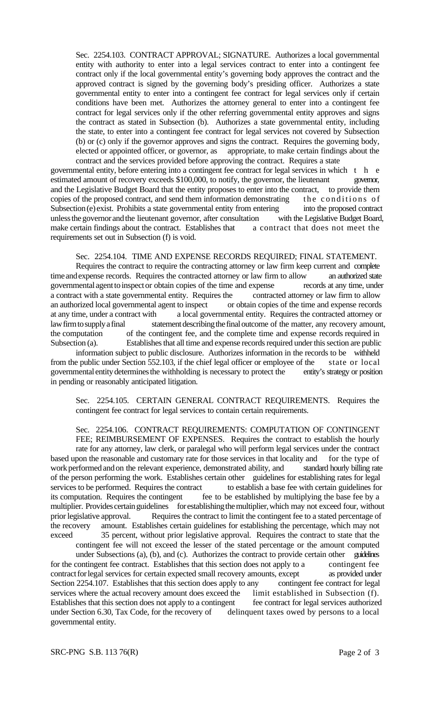Sec. 2254.103. CONTRACT APPROVAL; SIGNATURE. Authorizes a local governmental entity with authority to enter into a legal services contract to enter into a contingent fee contract only if the local governmental entity's governing body approves the contract and the approved contract is signed by the governing body's presiding officer. Authorizes a state governmental entity to enter into a contingent fee contract for legal services only if certain conditions have been met. Authorizes the attorney general to enter into a contingent fee contract for legal services only if the other referring governmental entity approves and signs the contract as stated in Subsection (b). Authorizes a state governmental entity, including the state, to enter into a contingent fee contract for legal services not covered by Subsection (b) or (c) only if the governor approves and signs the contract. Requires the governing body, elected or appointed officer, or governor, as appropriate, to make certain findings about the contract and the services provided before approving the contract. Requires a state

governmental entity, before entering into a contingent fee contract for legal services in which t h e estimated amount of recovery exceeds \$100,000, to notify, the governor, the lieutenant governor, and the Legislative Budget Board that the entity proposes to enter into the contract, to provide them copies of the proposed contract, and send them information demonstrating the conditions of Subsection (e) exist. Prohibits a state governmental entity from entering into the proposed contract unless the governor and the lieutenant governor, after consultation with the Legislative Budget Board, make certain findings about the contract. Establishes that a contract that does not meet the requirements set out in Subsection (f) is void.

#### Sec. 2254.104. TIME AND EXPENSE RECORDS REQUIRED; FINAL STATEMENT.

Requires the contract to require the contracting attorney or law firm keep current and complete time and expense records. Requires the contracted attorney or law firm to allow an authorized state governmental agent to inspect or obtain copies of the time and expense records at any time, under a contract with a state governmental entity. Requires the contracted attorney or law firm to allow an authorized local governmental agent to inspect or obtain copies of the time and expense records at any time, under a contract with a local governmental entity. Requires the contracted attorney or law firm to supply a final statement describing the final outcome of the matter, any recovery amount, the computation of the contingent fee, and the complete time and expense records required in Subsection (a). Establishes that all time and expense records required under this section are public

information subject to public disclosure. Authorizes information in the records to be withheld from the public under Section 552.103, if the chief legal officer or employee of the state or local governmental entity determines the withholding is necessary to protect the entity's strategy or position in pending or reasonably anticipated litigation.

Sec. 2254.105. CERTAIN GENERAL CONTRACT REQUIREMENTS. Requires the contingent fee contract for legal services to contain certain requirements.

# Sec. 2254.106. CONTRACT REQUIREMENTS: COMPUTATION OF CONTINGENT FEE; REIMBURSEMENT OF EXPENSES. Requires the contract to establish the hourly

rate for any attorney, law clerk, or paralegal who will perform legal services under the contract based upon the reasonable and customary rate for those services in that locality and for the type of work performed and on the relevant experience, demonstrated ability, and standard hourly billing rate work performed and on the relevant experience, demonstrated ability, and of the person performing the work. Establishes certain other guidelines for establishing rates for legal services to be performed. Requires the contract to establish a base fee with certain guidelines for its computation. Requires the contingent fee to be established by multiplying the base fee by a multiplier. Provides certain guidelines for establishing the multiplier, which may not exceed four, without prior legislative approval. Requires the contract to limit the contingent fee to a stated percentage of the recovery amount. Establishes certain guidelines for establishing the percentage, which may not exceed 35 percent, without prior legislative approval. Requires the contract to state that the

contingent fee will not exceed the lesser of the stated percentage or the amount computed under Subsections (a), (b), and (c). Authorizes the contract to provide certain other guidelines for the contingent fee contract. Establishes that this section does not apply to a contingent fee contract for legal services for certain expected small recovery amounts, except as provided under Section 2254.107. Establishes that this section does apply to any contingent fee contract for legal services where the actual recovery amount does exceed the limit established in Subsection (f). Establishes that this section does not apply to a contingent fee contract for legal services authorized under Section 6.30, Tax Code, for the recovery of delinquent taxes owed by persons to a local governmental entity.